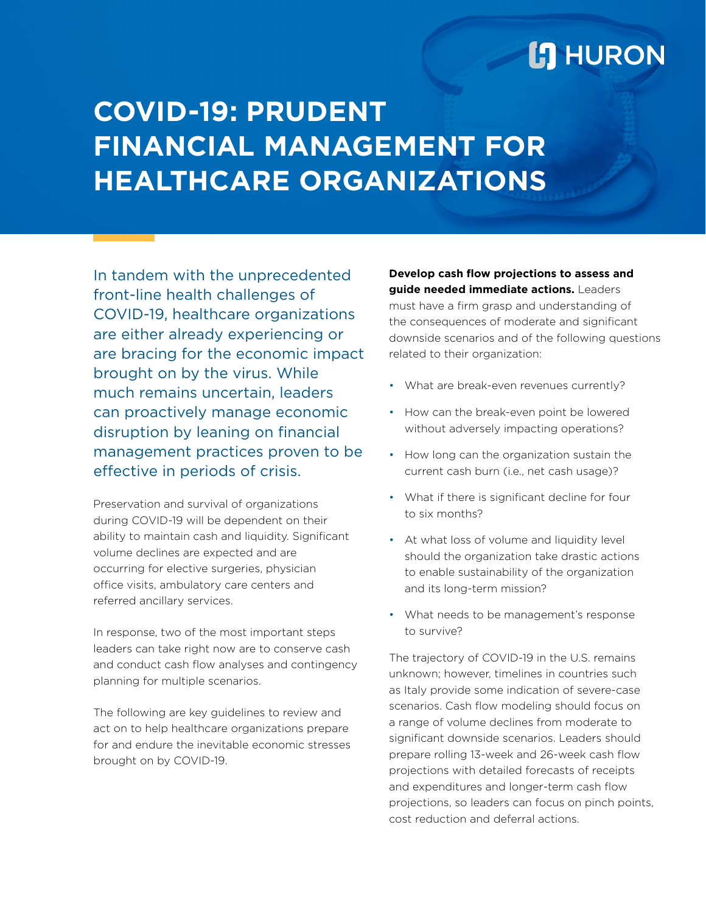# **L'I** HURON

# **COVID-19: PRUDENT FINANCIAL MANAGEMENT FOR HEALTHCARE ORGANIZATIONS**

In tandem with the unprecedented front-line health challenges of COVID-19, healthcare organizations are either already experiencing or are bracing for the economic impact brought on by the virus. While much remains uncertain, leaders can proactively manage economic disruption by leaning on financial management practices proven to be effective in periods of crisis.

Preservation and survival of organizations during COVID-19 will be dependent on their ability to maintain cash and liquidity. Significant volume declines are expected and are occurring for elective surgeries, physician office visits, ambulatory care centers and referred ancillary services.

In response, two of the most important steps leaders can take right now are to conserve cash and conduct cash flow analyses and contingency planning for multiple scenarios.

The following are key guidelines to review and act on to help healthcare organizations prepare for and endure the inevitable economic stresses brought on by COVID-19.

**Develop cash flow projections to assess and guide needed immediate actions.** Leaders must have a firm grasp and understanding of the consequences of moderate and significant downside scenarios and of the following questions related to their organization:

- What are break-even revenues currently?
- How can the break-even point be lowered without adversely impacting operations?
- How long can the organization sustain the current cash burn (i.e., net cash usage)?
- What if there is significant decline for four to six months?
- At what loss of volume and liquidity level should the organization take drastic actions to enable sustainability of the organization and its long-term mission?
- What needs to be management's response to survive?

The trajectory of COVID-19 in the U.S. remains unknown; however, timelines in countries such as Italy provide some indication of severe-case scenarios. Cash flow modeling should focus on a range of volume declines from moderate to significant downside scenarios. Leaders should prepare rolling 13-week and 26-week cash flow projections with detailed forecasts of receipts and expenditures and longer-term cash flow projections, so leaders can focus on pinch points, cost reduction and deferral actions.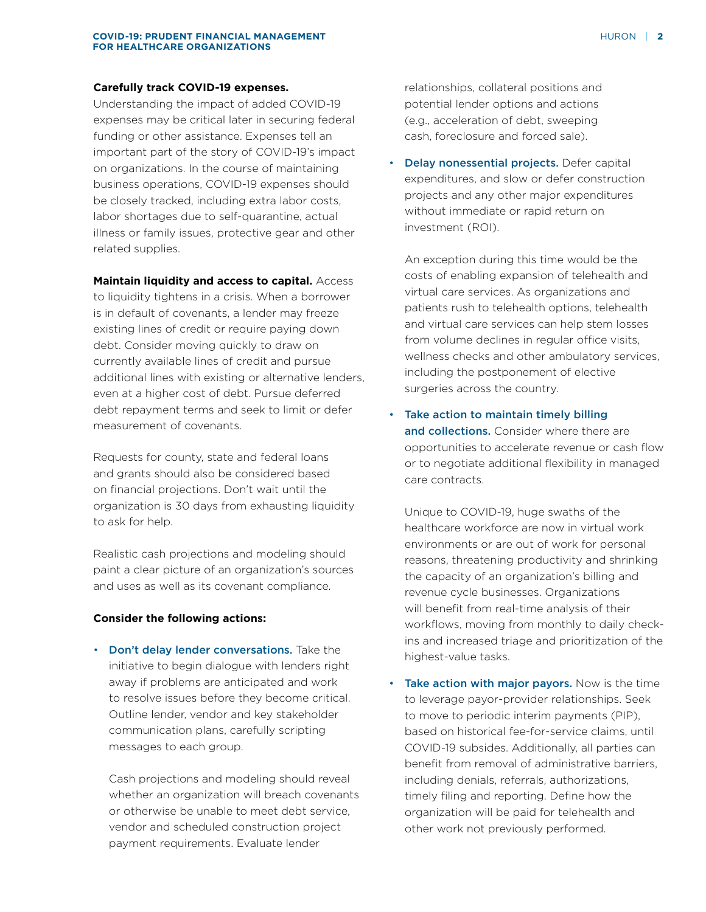#### **Carefully track COVID-19 expenses.**

Understanding the impact of added COVID-19 expenses may be critical later in securing federal funding or other assistance. Expenses tell an important part of the story of COVID-19's impact on organizations. In the course of maintaining business operations, COVID-19 expenses should be closely tracked, including extra labor costs, labor shortages due to self-quarantine, actual illness or family issues, protective gear and other related supplies.

#### **Maintain liquidity and access to capital.** Access

to liquidity tightens in a crisis. When a borrower is in default of covenants, a lender may freeze existing lines of credit or require paying down debt. Consider moving quickly to draw on currently available lines of credit and pursue additional lines with existing or alternative lenders, even at a higher cost of debt. Pursue deferred debt repayment terms and seek to limit or defer measurement of covenants.

Requests for county, state and federal loans and grants should also be considered based on financial projections. Don't wait until the organization is 30 days from exhausting liquidity to ask for help.

Realistic cash projections and modeling should paint a clear picture of an organization's sources and uses as well as its covenant compliance.

### **Consider the following actions:**

• Don't delay lender conversations. Take the initiative to begin dialogue with lenders right away if problems are anticipated and work to resolve issues before they become critical. Outline lender, vendor and key stakeholder communication plans, carefully scripting messages to each group.

Cash projections and modeling should reveal whether an organization will breach covenants or otherwise be unable to meet debt service, vendor and scheduled construction project payment requirements. Evaluate lender

relationships, collateral positions and potential lender options and actions (e.g., acceleration of debt, sweeping cash, foreclosure and forced sale).

• Delay nonessential projects. Defer capital expenditures, and slow or defer construction projects and any other major expenditures without immediate or rapid return on investment (ROI).

An exception during this time would be the costs of enabling expansion of telehealth and virtual care services. As organizations and patients rush to telehealth options, telehealth and virtual care services can help stem losses from volume declines in regular office visits, wellness checks and other ambulatory services, including the postponement of elective surgeries across the country.

• Take action to maintain timely billing and collections. Consider where there are opportunities to accelerate revenue or cash flow or to negotiate additional flexibility in managed care contracts.

Unique to COVID-19, huge swaths of the healthcare workforce are now in virtual work environments or are out of work for personal reasons, threatening productivity and shrinking the capacity of an organization's billing and revenue cycle businesses. Organizations will benefit from real-time analysis of their workflows, moving from monthly to daily checkins and increased triage and prioritization of the highest-value tasks.

• Take action with major payors. Now is the time to leverage payor-provider relationships. Seek to move to periodic interim payments (PIP), based on historical fee-for-service claims, until COVID-19 subsides. Additionally, all parties can benefit from removal of administrative barriers, including denials, referrals, authorizations, timely filing and reporting. Define how the organization will be paid for telehealth and other work not previously performed.